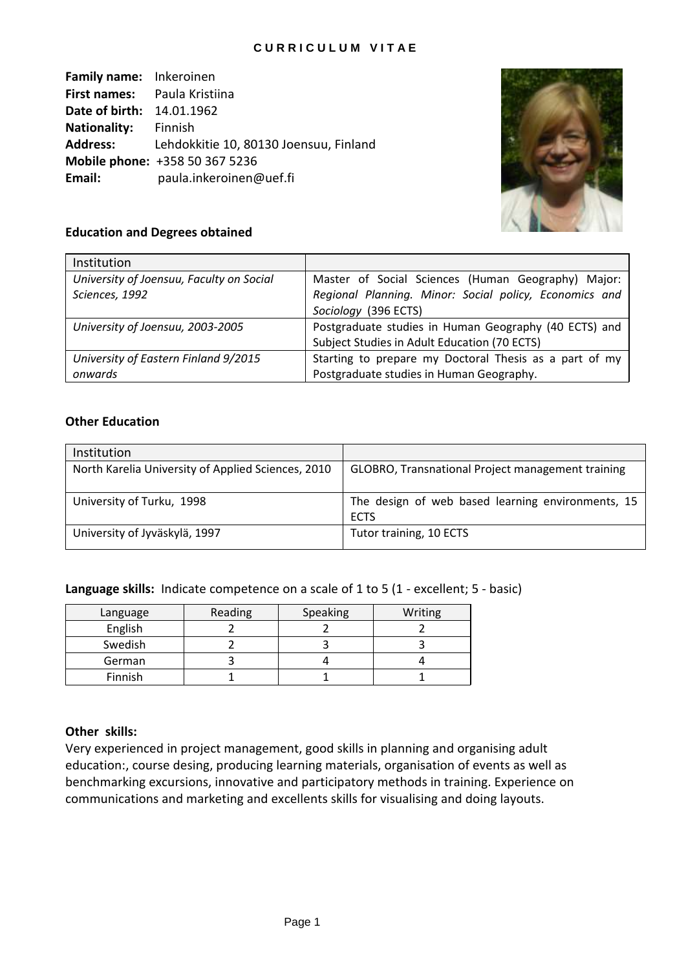## **C U R R I C U L U M V I T A E**

**Family name:** Inkeroinen **First names:** Paula Kristiina **Date of birth:** 14.01.1962 **Nationality:** Finnish **Address:** Lehdokkitie 10, 80130 Joensuu, Finland **Mobile phone:** +358 50 367 5236 **Email:** paula.inkeroinen@uef.fi



# **Education and Degrees obtained**

| Institution                              |                                                        |  |  |
|------------------------------------------|--------------------------------------------------------|--|--|
| University of Joensuu, Faculty on Social | Master of Social Sciences (Human Geography) Major:     |  |  |
| Sciences, 1992                           | Regional Planning. Minor: Social policy, Economics and |  |  |
|                                          | Sociology (396 ECTS)                                   |  |  |
| University of Joensuu, 2003-2005         | Postgraduate studies in Human Geography (40 ECTS) and  |  |  |
|                                          | Subject Studies in Adult Education (70 ECTS)           |  |  |
| University of Eastern Finland 9/2015     | Starting to prepare my Doctoral Thesis as a part of my |  |  |
| onwards                                  | Postgraduate studies in Human Geography.               |  |  |

## **Other Education**

| Institution                                        |                                                                  |
|----------------------------------------------------|------------------------------------------------------------------|
| North Karelia University of Applied Sciences, 2010 | GLOBRO, Transnational Project management training                |
| University of Turku, 1998                          | The design of web based learning environments, 15<br><b>ECTS</b> |
| University of Jyväskylä, 1997                      | Tutor training, 10 ECTS                                          |

**Language skills:** Indicate competence on a scale of 1 to 5 (1 - excellent; 5 - basic)

| Language | Reading | Speaking | Writing |
|----------|---------|----------|---------|
| English  |         |          |         |
| Swedish  |         |          |         |
| German   |         |          |         |
| Finnish  |         |          |         |

## **Other skills:**

Very experienced in project management, good skills in planning and organising adult education:, course desing, producing learning materials, organisation of events as well as benchmarking excursions, innovative and participatory methods in training. Experience on communications and marketing and excellents skills for visualising and doing layouts.